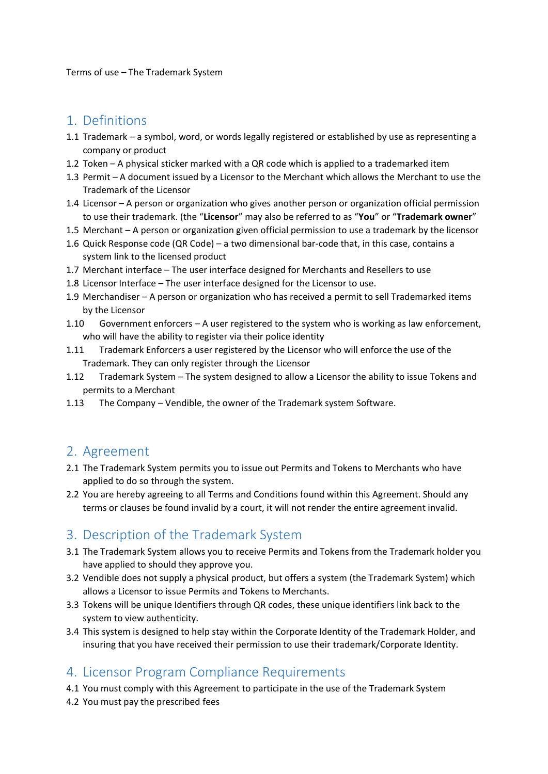#### Terms of use – The Trademark System

### 1. Definitions

- 1.1 Trademark a symbol, word, or words legally registered or established by use as representing a company or product
- 1.2 Token A physical sticker marked with a QR code which is applied to a trademarked item
- 1.3 Permit A document issued by a Licensor to the Merchant which allows the Merchant to use the Trademark of the Licensor
- 1.4 Licensor A person or organization who gives another person or organization official permission to use their trademark. (the "**Licensor**" may also be referred to as "**You**" or "**Trademark owner**"
- 1.5 Merchant A person or organization given official permission to use a trademark by the licensor
- 1.6 Quick Response code (QR Code) a two dimensional bar-code that, in this case, contains a system link to the licensed product
- 1.7 Merchant interface The user interface designed for Merchants and Resellers to use
- 1.8 Licensor Interface The user interface designed for the Licensor to use.
- 1.9 Merchandiser A person or organization who has received a permit to sell Trademarked items by the Licensor
- 1.10 Government enforcers A user registered to the system who is working as law enforcement, who will have the ability to register via their police identity
- 1.11 Trademark Enforcers a user registered by the Licensor who will enforce the use of the Trademark. They can only register through the Licensor
- 1.12 Trademark System The system designed to allow a Licensor the ability to issue Tokens and permits to a Merchant
- 1.13 The Company Vendible, the owner of the Trademark system Software.

## 2. Agreement

- 2.1 The Trademark System permits you to issue out Permits and Tokens to Merchants who have applied to do so through the system.
- 2.2 You are hereby agreeing to all Terms and Conditions found within this Agreement. Should any terms or clauses be found invalid by a court, it will not render the entire agreement invalid.

## 3. Description of the Trademark System

- 3.1 The Trademark System allows you to receive Permits and Tokens from the Trademark holder you have applied to should they approve you.
- 3.2 Vendible does not supply a physical product, but offers a system (the Trademark System) which allows a Licensor to issue Permits and Tokens to Merchants.
- 3.3 Tokens will be unique Identifiers through QR codes, these unique identifiers link back to the system to view authenticity.
- 3.4 This system is designed to help stay within the Corporate Identity of the Trademark Holder, and insuring that you have received their permission to use their trademark/Corporate Identity.

## 4. Licensor Program Compliance Requirements

- 4.1 You must comply with this Agreement to participate in the use of the Trademark System
- 4.2 You must pay the prescribed fees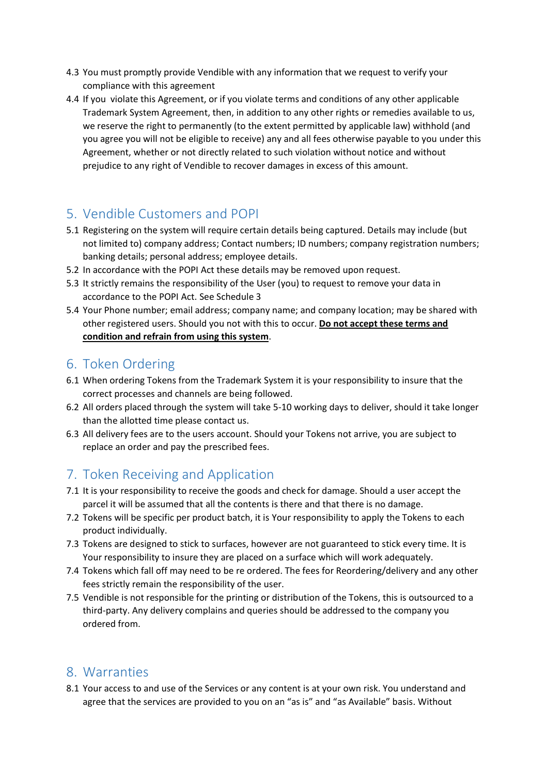- 4.3 You must promptly provide Vendible with any information that we request to verify your compliance with this agreement
- 4.4 If you violate this Agreement, or if you violate terms and conditions of any other applicable Trademark System Agreement, then, in addition to any other rights or remedies available to us, we reserve the right to permanently (to the extent permitted by applicable law) withhold (and you agree you will not be eligible to receive) any and all fees otherwise payable to you under this Agreement, whether or not directly related to such violation without notice and without prejudice to any right of Vendible to recover damages in excess of this amount.

# 5. Vendible Customers and POPI

- 5.1 Registering on the system will require certain details being captured. Details may include (but not limited to) company address; Contact numbers; ID numbers; company registration numbers; banking details; personal address; employee details.
- 5.2 In accordance with the POPI Act these details may be removed upon request.
- 5.3 It strictly remains the responsibility of the User (you) to request to remove your data in accordance to the POPI Act. See Schedule 3
- 5.4 Your Phone number; email address; company name; and company location; may be shared with other registered users. Should you not with this to occur. **Do not accept these terms and condition and refrain from using this system**.

## 6. Token Ordering

- 6.1 When ordering Tokens from the Trademark System it is your responsibility to insure that the correct processes and channels are being followed.
- 6.2 All orders placed through the system will take 5-10 working days to deliver, should it take longer than the allotted time please contact us.
- 6.3 All delivery fees are to the users account. Should your Tokens not arrive, you are subject to replace an order and pay the prescribed fees.

# 7. Token Receiving and Application

- 7.1 It is your responsibility to receive the goods and check for damage. Should a user accept the parcel it will be assumed that all the contents is there and that there is no damage.
- 7.2 Tokens will be specific per product batch, it is Your responsibility to apply the Tokens to each product individually.
- 7.3 Tokens are designed to stick to surfaces, however are not guaranteed to stick every time. It is Your responsibility to insure they are placed on a surface which will work adequately.
- 7.4 Tokens which fall off may need to be re ordered. The fees for Reordering/delivery and any other fees strictly remain the responsibility of the user.
- 7.5 Vendible is not responsible for the printing or distribution of the Tokens, this is outsourced to a third-party. Any delivery complains and queries should be addressed to the company you ordered from.

## 8. Warranties

8.1 Your access to and use of the Services or any content is at your own risk. You understand and agree that the services are provided to you on an "as is" and "as Available" basis. Without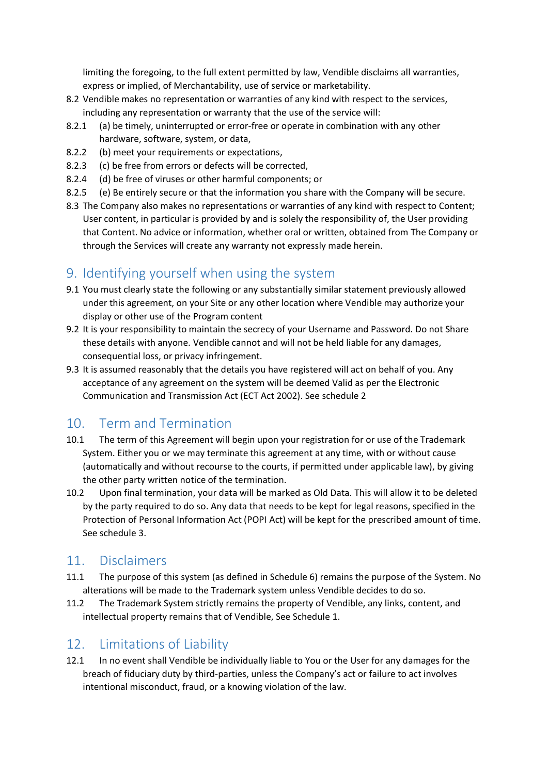limiting the foregoing, to the full extent permitted by law, Vendible disclaims all warranties, express or implied, of Merchantability, use of service or marketability.

- 8.2 Vendible makes no representation or warranties of any kind with respect to the services, including any representation or warranty that the use of the service will:
- 8.2.1 (a) be timely, uninterrupted or error-free or operate in combination with any other hardware, software, system, or data,
- 8.2.2 (b) meet your requirements or expectations,
- 8.2.3 (c) be free from errors or defects will be corrected,
- 8.2.4 (d) be free of viruses or other harmful components; or
- 8.2.5 (e) Be entirely secure or that the information you share with the Company will be secure.
- 8.3 The Company also makes no representations or warranties of any kind with respect to Content; User content, in particular is provided by and is solely the responsibility of, the User providing that Content. No advice or information, whether oral or written, obtained from The Company or through the Services will create any warranty not expressly made herein.

# 9. Identifying yourself when using the system

- 9.1 You must clearly state the following or any substantially similar statement previously allowed under this agreement, on your Site or any other location where Vendible may authorize your display or other use of the Program content
- 9.2 It is your responsibility to maintain the secrecy of your Username and Password. Do not Share these details with anyone. Vendible cannot and will not be held liable for any damages, consequential loss, or privacy infringement.
- 9.3 It is assumed reasonably that the details you have registered will act on behalf of you. Any acceptance of any agreement on the system will be deemed Valid as per the Electronic Communication and Transmission Act (ECT Act 2002). See schedule 2

# 10. Term and Termination

- 10.1 The term of this Agreement will begin upon your registration for or use of the Trademark System. Either you or we may terminate this agreement at any time, with or without cause (automatically and without recourse to the courts, if permitted under applicable law), by giving the other party written notice of the termination.
- 10.2 Upon final termination, your data will be marked as Old Data. This will allow it to be deleted by the party required to do so. Any data that needs to be kept for legal reasons, specified in the Protection of Personal Information Act (POPI Act) will be kept for the prescribed amount of time. See schedule 3.

## 11. Disclaimers

- 11.1 The purpose of this system (as defined in Schedule 6) remains the purpose of the System. No alterations will be made to the Trademark system unless Vendible decides to do so.
- 11.2 The Trademark System strictly remains the property of Vendible, any links, content, and intellectual property remains that of Vendible, See Schedule 1.

## 12. Limitations of Liability

12.1 In no event shall Vendible be individually liable to You or the User for any damages for the breach of fiduciary duty by third-parties, unless the Company's act or failure to act involves intentional misconduct, fraud, or a knowing violation of the law.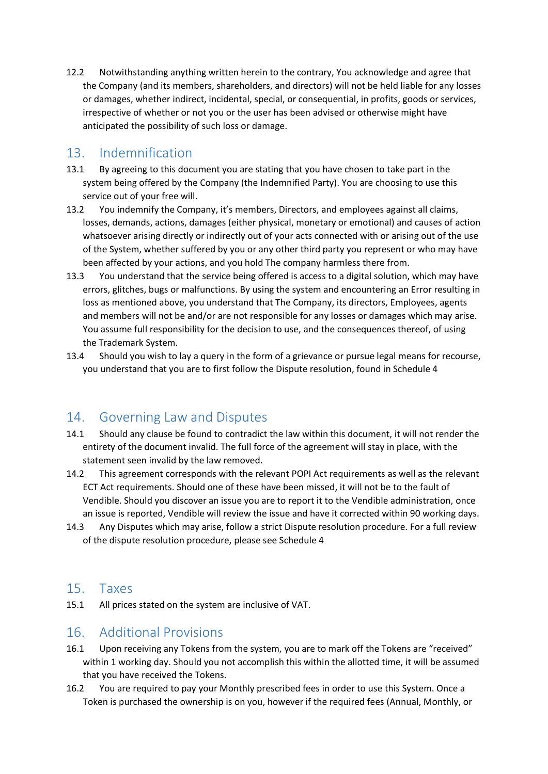12.2 Notwithstanding anything written herein to the contrary, You acknowledge and agree that the Company (and its members, shareholders, and directors) will not be held liable for any losses or damages, whether indirect, incidental, special, or consequential, in profits, goods or services, irrespective of whether or not you or the user has been advised or otherwise might have anticipated the possibility of such loss or damage.

## 13. Indemnification

- 13.1 By agreeing to this document you are stating that you have chosen to take part in the system being offered by the Company (the Indemnified Party). You are choosing to use this service out of your free will.
- 13.2 You indemnify the Company, it's members, Directors, and employees against all claims, losses, demands, actions, damages (either physical, monetary or emotional) and causes of action whatsoever arising directly or indirectly out of your acts connected with or arising out of the use of the System, whether suffered by you or any other third party you represent or who may have been affected by your actions, and you hold The company harmless there from.
- 13.3 You understand that the service being offered is access to a digital solution, which may have errors, glitches, bugs or malfunctions. By using the system and encountering an Error resulting in loss as mentioned above, you understand that The Company, its directors, Employees, agents and members will not be and/or are not responsible for any losses or damages which may arise. You assume full responsibility for the decision to use, and the consequences thereof, of using the Trademark System.
- 13.4 Should you wish to lay a query in the form of a grievance or pursue legal means for recourse, you understand that you are to first follow the Dispute resolution, found in Schedule 4

## 14. Governing Law and Disputes

- 14.1 Should any clause be found to contradict the law within this document, it will not render the entirety of the document invalid. The full force of the agreement will stay in place, with the statement seen invalid by the law removed.
- 14.2 This agreement corresponds with the relevant POPI Act requirements as well as the relevant ECT Act requirements. Should one of these have been missed, it will not be to the fault of Vendible. Should you discover an issue you are to report it to the Vendible administration, once an issue is reported, Vendible will review the issue and have it corrected within 90 working days.
- 14.3 Any Disputes which may arise, follow a strict Dispute resolution procedure. For a full review of the dispute resolution procedure, please see Schedule 4

## 15. Taxes

15.1 All prices stated on the system are inclusive of VAT.

## 16. Additional Provisions

- 16.1 Upon receiving any Tokens from the system, you are to mark off the Tokens are "received" within 1 working day. Should you not accomplish this within the allotted time, it will be assumed that you have received the Tokens.
- 16.2 You are required to pay your Monthly prescribed fees in order to use this System. Once a Token is purchased the ownership is on you, however if the required fees (Annual, Monthly, or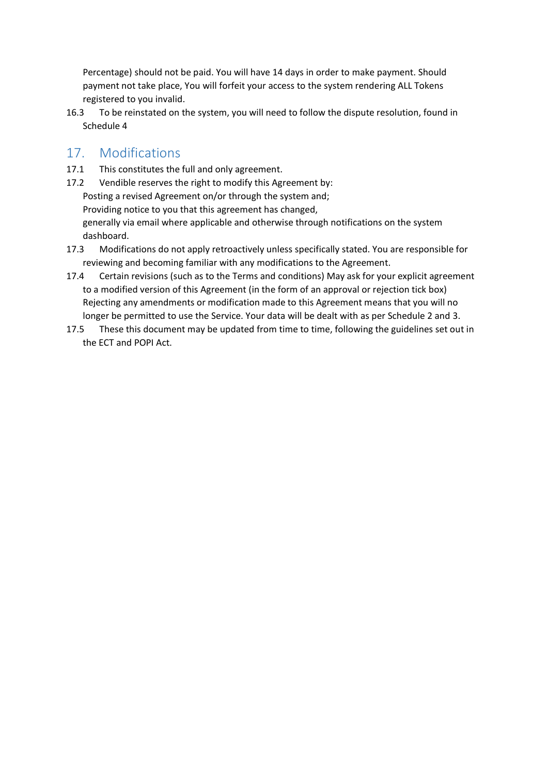Percentage) should not be paid. You will have 14 days in order to make payment. Should payment not take place, You will forfeit your access to the system rendering ALL Tokens registered to you invalid.

16.3 To be reinstated on the system, you will need to follow the dispute resolution, found in Schedule 4

## 17. Modifications

- 17.1 This constitutes the full and only agreement.
- 17.2 Vendible reserves the right to modify this Agreement by: Posting a revised Agreement on/or through the system and; Providing notice to you that this agreement has changed, generally via email where applicable and otherwise through notifications on the system dashboard.
- 17.3 Modifications do not apply retroactively unless specifically stated. You are responsible for reviewing and becoming familiar with any modifications to the Agreement.
- 17.4 Certain revisions (such as to the Terms and conditions) May ask for your explicit agreement to a modified version of this Agreement (in the form of an approval or rejection tick box) Rejecting any amendments or modification made to this Agreement means that you will no longer be permitted to use the Service. Your data will be dealt with as per Schedule 2 and 3.
- 17.5 These this document may be updated from time to time, following the guidelines set out in the ECT and POPI Act.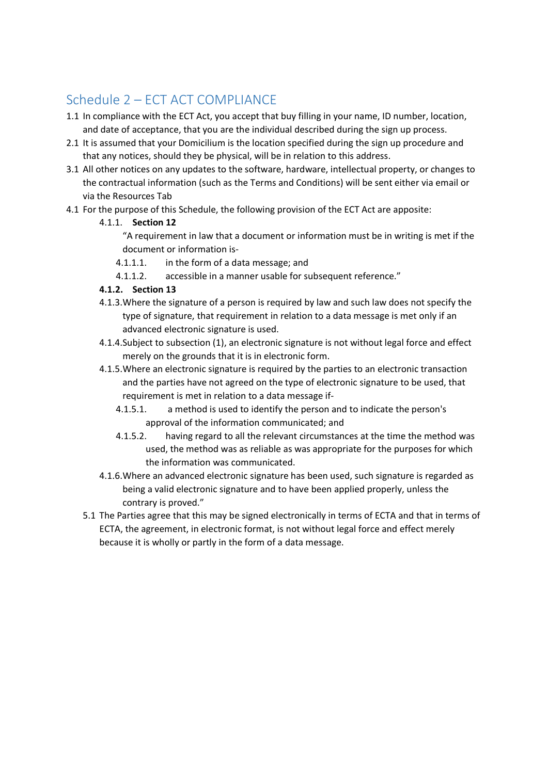# Schedule 2 – ECT ACT COMPLIANCE

- 1.1 In compliance with the ECT Act, you accept that buy filling in your name, ID number, location, and date of acceptance, that you are the individual described during the sign up process.
- 2.1 It is assumed that your Domicilium is the location specified during the sign up procedure and that any notices, should they be physical, will be in relation to this address.
- 3.1 All other notices on any updates to the software, hardware, intellectual property, or changes to the contractual information (such as the Terms and Conditions) will be sent either via email or via the Resources Tab
- 4.1 For the purpose of this Schedule, the following provision of the ECT Act are apposite:
	- 4.1.1. **Section 12**

"A requirement in law that a document or information must be in writing is met if the document or information is-

- 4.1.1.1. in the form of a data message; and
- 4.1.1.2. accessible in a manner usable for subsequent reference."
- **4.1.2. Section 13**
- 4.1.3.Where the signature of a person is required by law and such law does not specify the type of signature, that requirement in relation to a data message is met only if an advanced electronic signature is used.
- 4.1.4.Subject to subsection (1), an electronic signature is not without legal force and effect merely on the grounds that it is in electronic form.
- 4.1.5.Where an electronic signature is required by the parties to an electronic transaction and the parties have not agreed on the type of electronic signature to be used, that requirement is met in relation to a data message if-
	- 4.1.5.1. a method is used to identify the person and to indicate the person's approval of the information communicated; and
	- 4.1.5.2. having regard to all the relevant circumstances at the time the method was used, the method was as reliable as was appropriate for the purposes for which the information was communicated.
- 4.1.6.Where an advanced electronic signature has been used, such signature is regarded as being a valid electronic signature and to have been applied properly, unless the contrary is proved."
- 5.1 The Parties agree that this may be signed electronically in terms of ECTA and that in terms of ECTA, the agreement, in electronic format, is not without legal force and effect merely because it is wholly or partly in the form of a data message.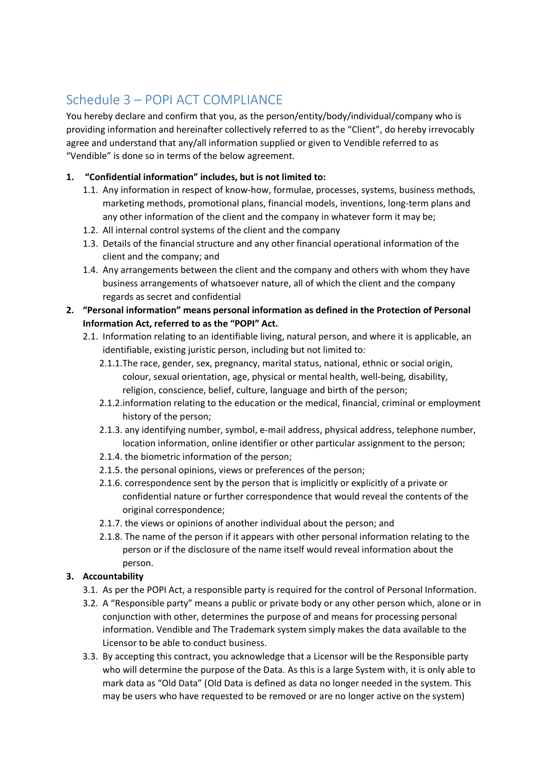# Schedule 3 – POPI ACT COMPLIANCE

You hereby declare and confirm that you, as the person/entity/body/individual/company who is providing information and hereinafter collectively referred to as the "Client", do hereby irrevocably agree and understand that any/all information supplied or given to Vendible referred to as "Vendible" is done so in terms of the below agreement.

#### **1. "Confidential information" includes, but is not limited to:**

- 1.1. Any information in respect of know-how, formulae, processes, systems, business methods, marketing methods, promotional plans, financial models, inventions, long-term plans and any other information of the client and the company in whatever form it may be;
- 1.2. All internal control systems of the client and the company
- 1.3. Details of the financial structure and any other financial operational information of the client and the company; and
- 1.4. Any arrangements between the client and the company and others with whom they have business arrangements of whatsoever nature, all of which the client and the company regards as secret and confidential
- **2. "Personal information" means personal information as defined in the Protection of Personal Information Act, referred to as the "POPI" Act.** 
	- 2.1. Information relating to an identifiable living, natural person, and where it is applicable, an identifiable, existing juristic person, including but not limited to:
		- 2.1.1.The race, gender, sex, pregnancy, marital status, national, ethnic or social origin, colour, sexual orientation, age, physical or mental health, well-being, disability, religion, conscience, belief, culture, language and birth of the person;
		- 2.1.2.information relating to the education or the medical, financial, criminal or employment history of the person;
		- 2.1.3. any identifying number, symbol, e-mail address, physical address, telephone number, location information, online identifier or other particular assignment to the person;
		- 2.1.4. the biometric information of the person;
		- 2.1.5. the personal opinions, views or preferences of the person;
		- 2.1.6. correspondence sent by the person that is implicitly or explicitly of a private or confidential nature or further correspondence that would reveal the contents of the original correspondence;
		- 2.1.7. the views or opinions of another individual about the person; and
		- 2.1.8. The name of the person if it appears with other personal information relating to the person or if the disclosure of the name itself would reveal information about the person.

#### **3. Accountability**

- 3.1. As per the POPI Act, a responsible party is required for the control of Personal Information.
- 3.2. A "Responsible party" means a public or private body or any other person which, alone or in conjunction with other, determines the purpose of and means for processing personal information. Vendible and The Trademark system simply makes the data available to the Licensor to be able to conduct business.
- 3.3. By accepting this contract, you acknowledge that a Licensor will be the Responsible party who will determine the purpose of the Data. As this is a large System with, it is only able to mark data as "Old Data" (Old Data is defined as data no longer needed in the system. This may be users who have requested to be removed or are no longer active on the system)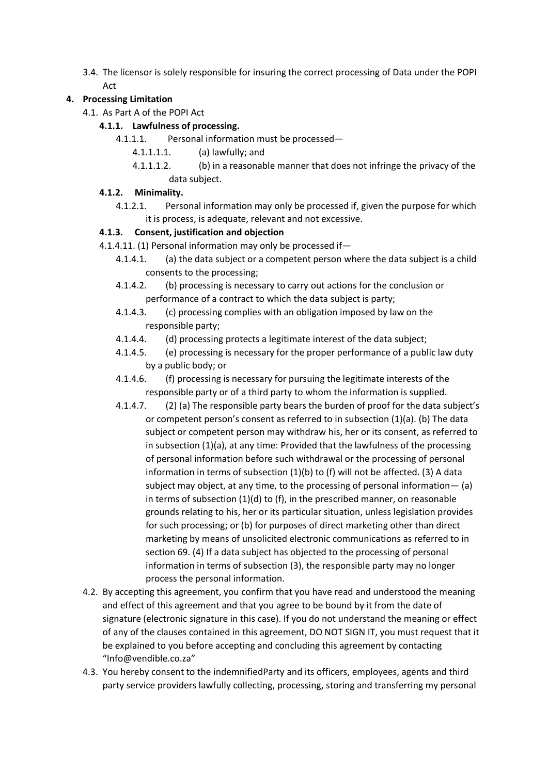3.4. The licensor is solely responsible for insuring the correct processing of Data under the POPI Act

#### **4. Processing Limitation**

4.1. As Part A of the POPI Act

#### **4.1.1. Lawfulness of processing.**

- 4.1.1.1. Personal information must be processed—
	- 4.1.1.1.1. (a) lawfully; and
	- 4.1.1.1.2. (b) in a reasonable manner that does not infringe the privacy of the data subject.

#### **4.1.2. Minimality.**

4.1.2.1. Personal information may only be processed if, given the purpose for which it is process, is adequate, relevant and not excessive.

#### **4.1.3. Consent, justification and objection**

- 4.1.4.11. (1) Personal information may only be processed if—
	- 4.1.4.1. (a) the data subject or a competent person where the data subject is a child consents to the processing;
	- 4.1.4.2. (b) processing is necessary to carry out actions for the conclusion or performance of a contract to which the data subject is party;
	- 4.1.4.3. (c) processing complies with an obligation imposed by law on the responsible party;
	- 4.1.4.4. (d) processing protects a legitimate interest of the data subject;
	- 4.1.4.5. (e) processing is necessary for the proper performance of a public law duty by a public body; or
	- 4.1.4.6. (f) processing is necessary for pursuing the legitimate interests of the responsible party or of a third party to whom the information is supplied.
	- 4.1.4.7. (2) (a) The responsible party bears the burden of proof for the data subject's or competent person's consent as referred to in subsection (1)(a). (b) The data subject or competent person may withdraw his, her or its consent, as referred to in subsection (1)(a), at any time: Provided that the lawfulness of the processing of personal information before such withdrawal or the processing of personal information in terms of subsection (1)(b) to (f) will not be affected. (3) A data subject may object, at any time, to the processing of personal information— (a) in terms of subsection (1)(d) to (f), in the prescribed manner, on reasonable grounds relating to his, her or its particular situation, unless legislation provides for such processing; or (b) for purposes of direct marketing other than direct marketing by means of unsolicited electronic communications as referred to in section 69. (4) If a data subject has objected to the processing of personal information in terms of subsection (3), the responsible party may no longer process the personal information.
- 4.2. By accepting this agreement, you confirm that you have read and understood the meaning and effect of this agreement and that you agree to be bound by it from the date of signature (electronic signature in this case). If you do not understand the meaning or effect of any of the clauses contained in this agreement, DO NOT SIGN IT, you must request that it be explained to you before accepting and concluding this agreement by contacting "Info@vendible.co.za"
- 4.3. You hereby consent to the indemnifiedParty and its officers, employees, agents and third party service providers lawfully collecting, processing, storing and transferring my personal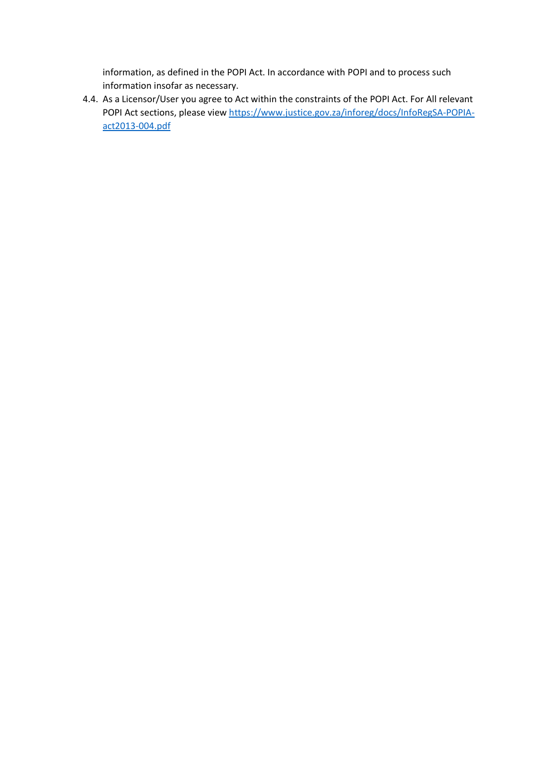information, as defined in the POPI Act. In accordance with POPI and to process such information insofar as necessary.

4.4. As a Licensor/User you agree to Act within the constraints of the POPI Act. For All relevant POPI Act sections, please view [https://www.justice.gov.za/inforeg/docs/InfoRegSA-POPIA](https://www.justice.gov.za/inforeg/docs/InfoRegSA-POPIA-act2013-004.pdf)[act2013-004.pdf](https://www.justice.gov.za/inforeg/docs/InfoRegSA-POPIA-act2013-004.pdf)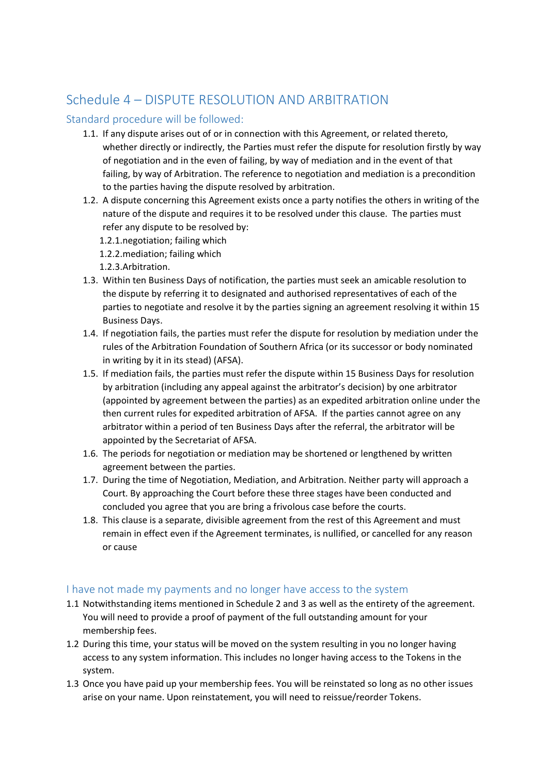# Schedule 4 – DISPUTE RESOLUTION AND ARBITRATION

#### Standard procedure will be followed:

- 1.1. If any dispute arises out of or in connection with this Agreement, or related thereto, whether directly or indirectly, the Parties must refer the dispute for resolution firstly by way of negotiation and in the even of failing, by way of mediation and in the event of that failing, by way of Arbitration. The reference to negotiation and mediation is a precondition to the parties having the dispute resolved by arbitration.
- 1.2. A dispute concerning this Agreement exists once a party notifies the others in writing of the nature of the dispute and requires it to be resolved under this clause. The parties must refer any dispute to be resolved by:
	- 1.2.1.negotiation; failing which
	- 1.2.2.mediation; failing which
	- 1.2.3.Arbitration.
- 1.3. Within ten Business Days of notification, the parties must seek an amicable resolution to the dispute by referring it to designated and authorised representatives of each of the parties to negotiate and resolve it by the parties signing an agreement resolving it within 15 Business Days.
- 1.4. If negotiation fails, the parties must refer the dispute for resolution by mediation under the rules of the Arbitration Foundation of Southern Africa (or its successor or body nominated in writing by it in its stead) [\(AFSA\)](http://www.arbitration.co.za/).
- 1.5. If mediation fails, the parties must refer the dispute within 15 Business Days for resolution by arbitration (including any appeal against the arbitrator's decision) by one arbitrator (appointed by agreement between the parties) as an expedited arbitration online under the then current [rules for expedited arbitration](http://www.arbitration.co.za/downloads/expedited_rules.pdf) of AFSA. If the parties cannot agree on any arbitrator within a period of ten Business Days after the referral, the arbitrator will be appointed by the Secretariat of AFSA.
- 1.6. The periods for negotiation or mediation may be shortened or lengthened by written agreement between the parties.
- 1.7. During the time of Negotiation, Mediation, and Arbitration. Neither party will approach a Court. By approaching the Court before these three stages have been conducted and concluded you agree that you are bring a frivolous case before the courts.
- 1.8. This clause is a separate, divisible agreement from the rest of this Agreement and must remain in effect even if the Agreement terminates, is nullified, or cancelled for any reason or cause

#### I have not made my payments and no longer have access to the system

- 1.1 Notwithstanding items mentioned in Schedule 2 and 3 as well as the entirety of the agreement. You will need to provide a proof of payment of the full outstanding amount for your membership fees.
- 1.2 During this time, your status will be moved on the system resulting in you no longer having access to any system information. This includes no longer having access to the Tokens in the system.
- 1.3 Once you have paid up your membership fees. You will be reinstated so long as no other issues arise on your name. Upon reinstatement, you will need to reissue/reorder Tokens.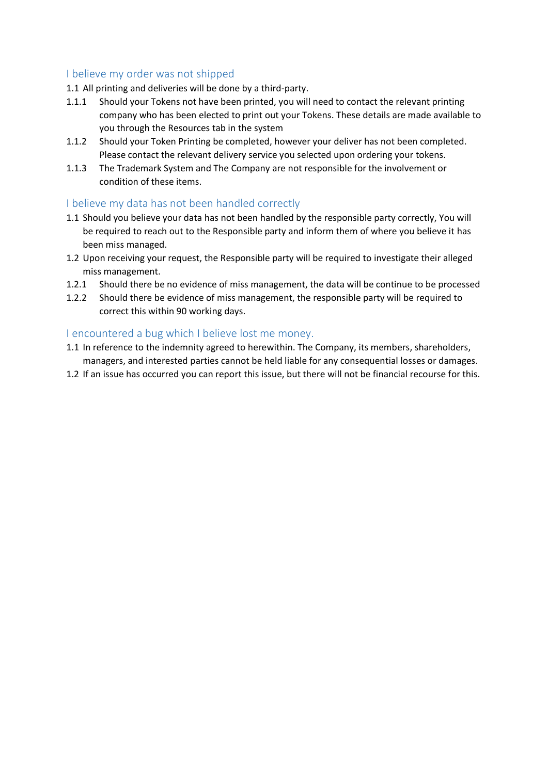#### I believe my order was not shipped

- 1.1 All printing and deliveries will be done by a third-party.
- 1.1.1 Should your Tokens not have been printed, you will need to contact the relevant printing company who has been elected to print out your Tokens. These details are made available to you through the Resources tab in the system
- 1.1.2 Should your Token Printing be completed, however your deliver has not been completed. Please contact the relevant delivery service you selected upon ordering your tokens.
- 1.1.3 The Trademark System and The Company are not responsible for the involvement or condition of these items.

#### I believe my data has not been handled correctly

- 1.1 Should you believe your data has not been handled by the responsible party correctly, You will be required to reach out to the Responsible party and inform them of where you believe it has been miss managed.
- 1.2 Upon receiving your request, the Responsible party will be required to investigate their alleged miss management.
- 1.2.1 Should there be no evidence of miss management, the data will be continue to be processed
- 1.2.2 Should there be evidence of miss management, the responsible party will be required to correct this within 90 working days.

#### I encountered a bug which I believe lost me money.

- 1.1 In reference to the indemnity agreed to herewithin. The Company, its members, shareholders, managers, and interested parties cannot be held liable for any consequential losses or damages.
- 1.2 If an issue has occurred you can report this issue, but there will not be financial recourse for this.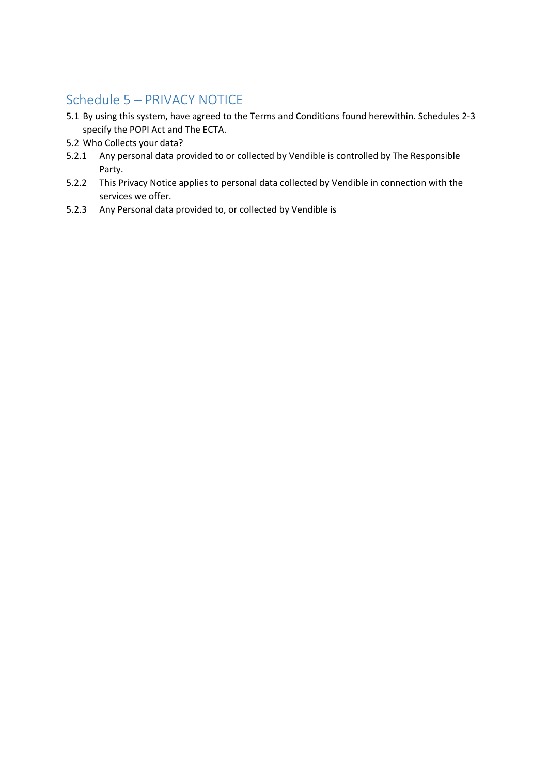# Schedule 5 – PRIVACY NOTICE

- 5.1 By using this system, have agreed to the Terms and Conditions found herewithin. Schedules 2-3 specify the POPI Act and The ECTA.
- 5.2 Who Collects your data?
- 5.2.1 Any personal data provided to or collected by Vendible is controlled by The Responsible Party.
- 5.2.2 This Privacy Notice applies to personal data collected by Vendible in connection with the services we offer.
- 5.2.3 Any Personal data provided to, or collected by Vendible is